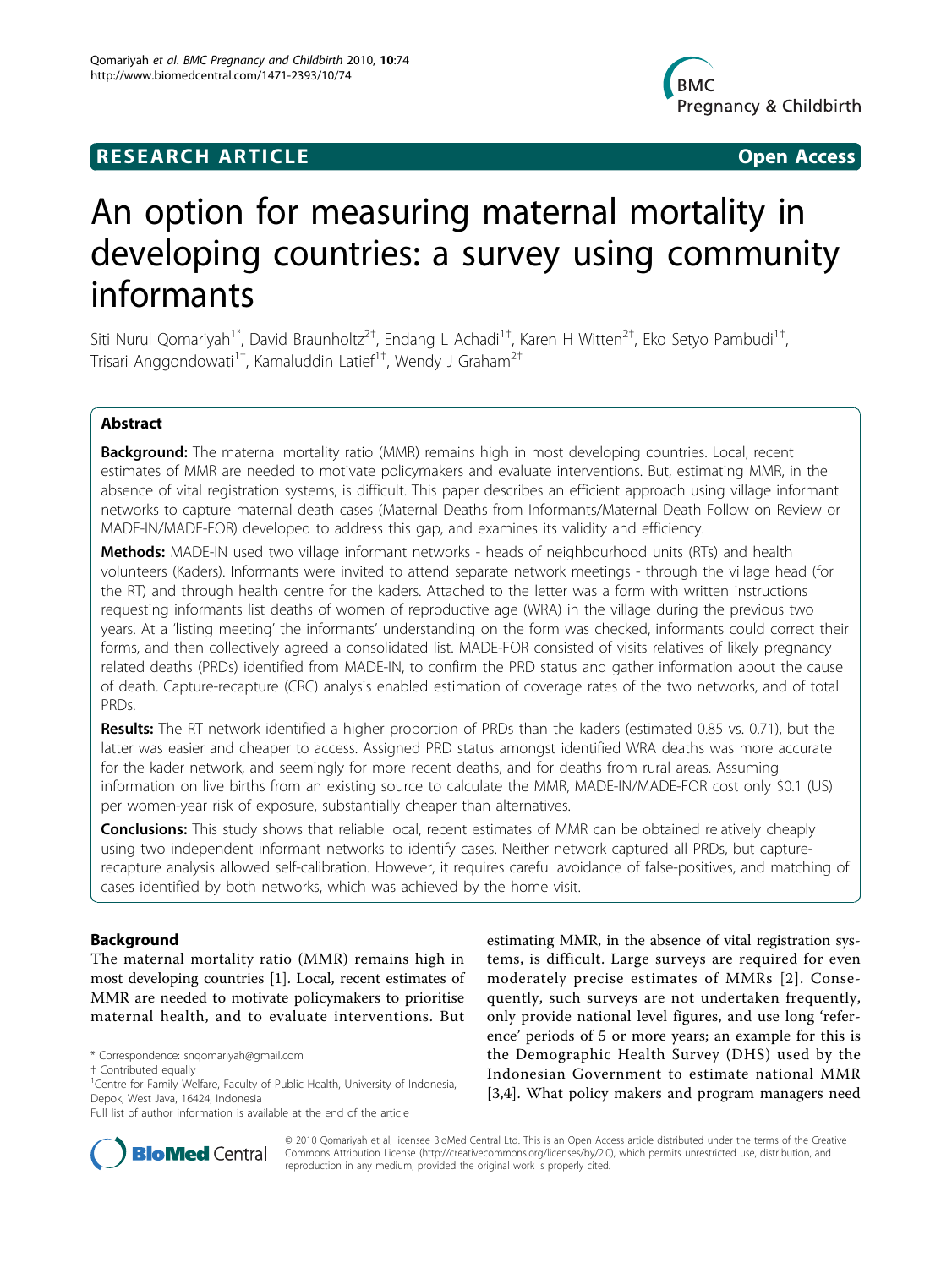## **RESEARCH ARTICLE Example 2018 CONSIDERING ACCESS**



# An option for measuring maternal mortality in developing countries: a survey using community informants

Siti Nurul Qomariyah<sup>1\*</sup>, David Braunholtz<sup>2†</sup>, Endang L Achadi<sup>1†</sup>, Karen H Witten<sup>2†</sup>, Eko Setyo Pambudi<sup>1†</sup> , Trisari Anggondowati $^{\rm 1+}$ , Kamaluddin Latief $^{\rm 1+}$ , Wendy J Graham $^{\rm 2+}$ 

## Abstract

**Background:** The maternal mortality ratio (MMR) remains high in most developing countries. Local, recent estimates of MMR are needed to motivate policymakers and evaluate interventions. But, estimating MMR, in the absence of vital registration systems, is difficult. This paper describes an efficient approach using village informant networks to capture maternal death cases (Maternal Deaths from Informants/Maternal Death Follow on Review or MADE-IN/MADE-FOR) developed to address this gap, and examines its validity and efficiency.

**Methods:** MADE-IN used two village informant networks - heads of neighbourhood units (RTs) and health volunteers (Kaders). Informants were invited to attend separate network meetings - through the village head (for the RT) and through health centre for the kaders. Attached to the letter was a form with written instructions requesting informants list deaths of women of reproductive age (WRA) in the village during the previous two years. At a 'listing meeting' the informants' understanding on the form was checked, informants could correct their forms, and then collectively agreed a consolidated list. MADE-FOR consisted of visits relatives of likely pregnancy related deaths (PRDs) identified from MADE-IN, to confirm the PRD status and gather information about the cause of death. Capture-recapture (CRC) analysis enabled estimation of coverage rates of the two networks, and of total PRDs.

Results: The RT network identified a higher proportion of PRDs than the kaders (estimated 0.85 vs. 0.71), but the latter was easier and cheaper to access. Assigned PRD status amongst identified WRA deaths was more accurate for the kader network, and seemingly for more recent deaths, and for deaths from rural areas. Assuming information on live births from an existing source to calculate the MMR, MADE-IN/MADE-FOR cost only \$0.1 (US) per women-year risk of exposure, substantially cheaper than alternatives.

**Conclusions:** This study shows that reliable local, recent estimates of MMR can be obtained relatively cheaply using two independent informant networks to identify cases. Neither network captured all PRDs, but capturerecapture analysis allowed self-calibration. However, it requires careful avoidance of false-positives, and matching of cases identified by both networks, which was achieved by the home visit.

## Background

The maternal mortality ratio (MMR) remains high in most developing countries [[1\]](#page-7-0). Local, recent estimates of MMR are needed to motivate policymakers to prioritise maternal health, and to evaluate interventions. But

\* Correspondence: [snqomariyah@gmail.com](mailto:snqomariyah@gmail.com)

Full list of author information is available at the end of the article





© 2010 Qomariyah et al; licensee BioMed Central Ltd. This is an Open Access article distributed under the terms of the Creative Commons Attribution License [\(http://creativecommons.org/licenses/by/2.0](http://creativecommons.org/licenses/by/2.0)), which permits unrestricted use, distribution, and reproduction in any medium, provided the original work is properly cited.

<sup>†</sup> Contributed equally <sup>1</sup>

<sup>&</sup>lt;sup>1</sup>Centre for Family Welfare, Faculty of Public Health, University of Indonesia, Depok, West Java, 16424, Indonesia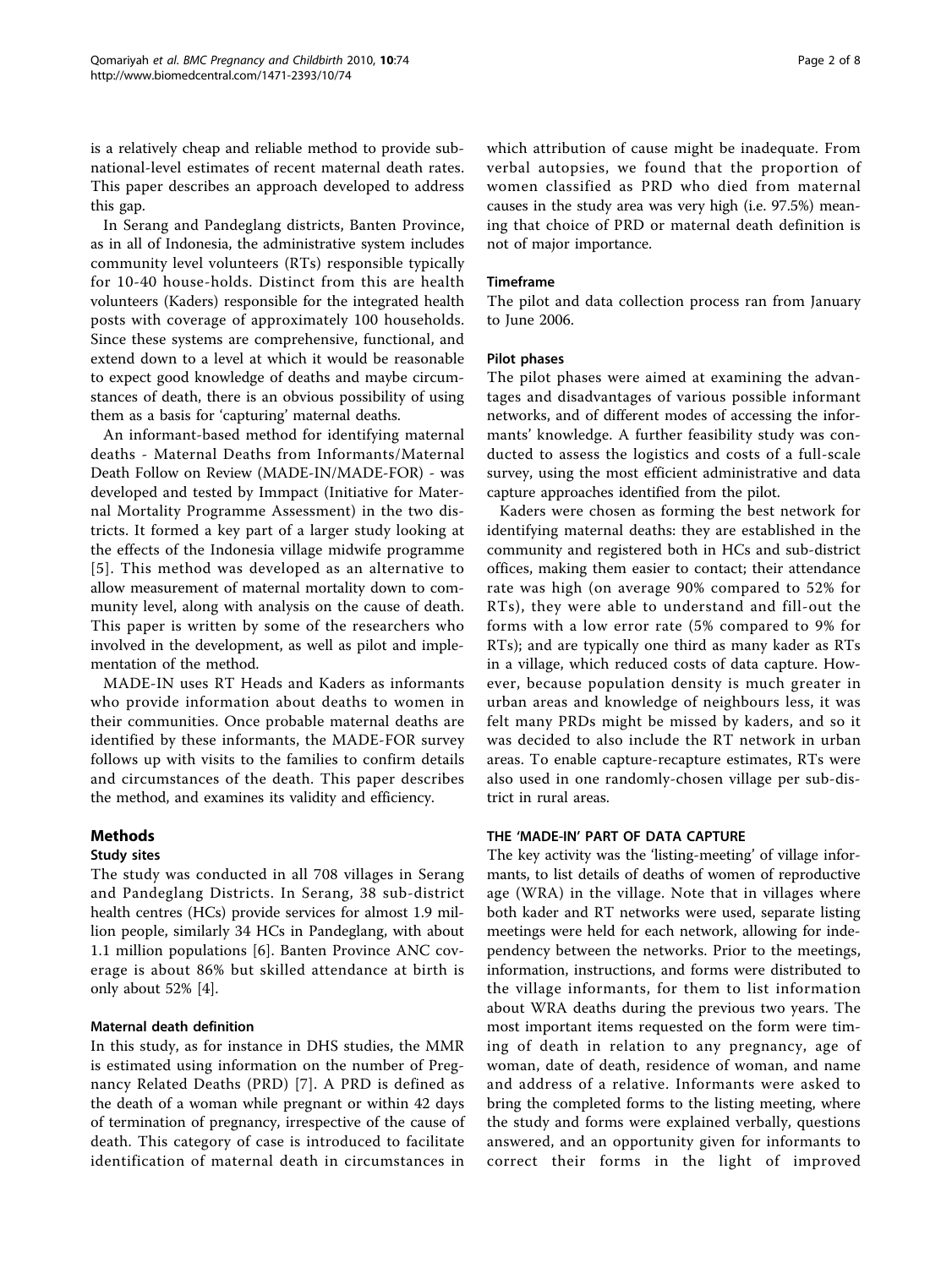is a relatively cheap and reliable method to provide subnational-level estimates of recent maternal death rates. This paper describes an approach developed to address this gap.

In Serang and Pandeglang districts, Banten Province, as in all of Indonesia, the administrative system includes community level volunteers (RTs) responsible typically for 10-40 house-holds. Distinct from this are health volunteers (Kaders) responsible for the integrated health posts with coverage of approximately 100 households. Since these systems are comprehensive, functional, and extend down to a level at which it would be reasonable to expect good knowledge of deaths and maybe circumstances of death, there is an obvious possibility of using them as a basis for 'capturing' maternal deaths.

An informant-based method for identifying maternal deaths - Maternal Deaths from Informants/Maternal Death Follow on Review (MADE-IN/MADE-FOR) - was developed and tested by Immpact (Initiative for Maternal Mortality Programme Assessment) in the two districts. It formed a key part of a larger study looking at the effects of the Indonesia village midwife programme [[5\]](#page-7-0). This method was developed as an alternative to allow measurement of maternal mortality down to community level, along with analysis on the cause of death. This paper is written by some of the researchers who involved in the development, as well as pilot and implementation of the method.

MADE-IN uses RT Heads and Kaders as informants who provide information about deaths to women in their communities. Once probable maternal deaths are identified by these informants, the MADE-FOR survey follows up with visits to the families to confirm details and circumstances of the death. This paper describes the method, and examines its validity and efficiency.

## Methods

#### Study sites

The study was conducted in all 708 villages in Serang and Pandeglang Districts. In Serang, 38 sub-district health centres (HCs) provide services for almost 1.9 million people, similarly 34 HCs in Pandeglang, with about 1.1 million populations [\[6](#page-7-0)]. Banten Province ANC coverage is about 86% but skilled attendance at birth is only about 52% [[4](#page-7-0)].

#### Maternal death definition

In this study, as for instance in DHS studies, the MMR is estimated using information on the number of Pregnancy Related Deaths (PRD) [[7\]](#page-7-0). A PRD is defined as the death of a woman while pregnant or within 42 days of termination of pregnancy, irrespective of the cause of death. This category of case is introduced to facilitate identification of maternal death in circumstances in which attribution of cause might be inadequate. From verbal autopsies, we found that the proportion of women classified as PRD who died from maternal causes in the study area was very high (i.e. 97.5%) meaning that choice of PRD or maternal death definition is not of major importance.

#### Timeframe

The pilot and data collection process ran from January to June 2006.

#### Pilot phases

The pilot phases were aimed at examining the advantages and disadvantages of various possible informant networks, and of different modes of accessing the informants' knowledge. A further feasibility study was conducted to assess the logistics and costs of a full-scale survey, using the most efficient administrative and data capture approaches identified from the pilot.

Kaders were chosen as forming the best network for identifying maternal deaths: they are established in the community and registered both in HCs and sub-district offices, making them easier to contact; their attendance rate was high (on average 90% compared to 52% for RTs), they were able to understand and fill-out the forms with a low error rate (5% compared to 9% for RTs); and are typically one third as many kader as RTs in a village, which reduced costs of data capture. However, because population density is much greater in urban areas and knowledge of neighbours less, it was felt many PRDs might be missed by kaders, and so it was decided to also include the RT network in urban areas. To enable capture-recapture estimates, RTs were also used in one randomly-chosen village per sub-district in rural areas.

#### THE 'MADE-IN' PART OF DATA CAPTURE

The key activity was the 'listing-meeting' of village informants, to list details of deaths of women of reproductive age (WRA) in the village. Note that in villages where both kader and RT networks were used, separate listing meetings were held for each network, allowing for independency between the networks. Prior to the meetings, information, instructions, and forms were distributed to the village informants, for them to list information about WRA deaths during the previous two years. The most important items requested on the form were timing of death in relation to any pregnancy, age of woman, date of death, residence of woman, and name and address of a relative. Informants were asked to bring the completed forms to the listing meeting, where the study and forms were explained verbally, questions answered, and an opportunity given for informants to correct their forms in the light of improved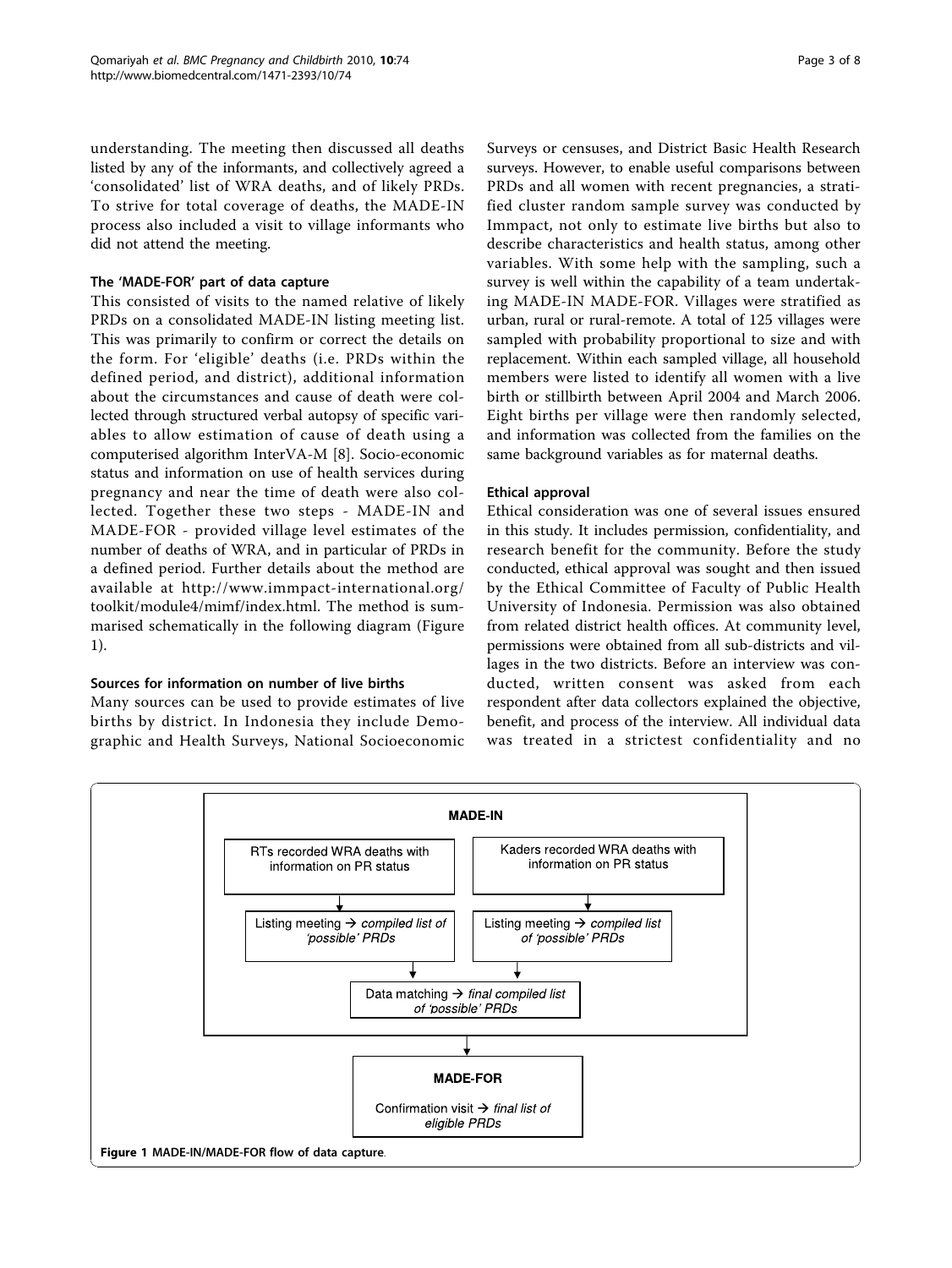understanding. The meeting then discussed all deaths listed by any of the informants, and collectively agreed a 'consolidated' list of WRA deaths, and of likely PRDs. To strive for total coverage of deaths, the MADE-IN process also included a visit to village informants who did not attend the meeting.

## The 'MADE-FOR' part of data capture

This consisted of visits to the named relative of likely PRDs on a consolidated MADE-IN listing meeting list. This was primarily to confirm or correct the details on the form. For 'eligible' deaths (i.e. PRDs within the defined period, and district), additional information about the circumstances and cause of death were collected through structured verbal autopsy of specific variables to allow estimation of cause of death using a computerised algorithm InterVA-M [[8](#page-7-0)]. Socio-economic status and information on use of health services during pregnancy and near the time of death were also collected. Together these two steps - MADE-IN and MADE-FOR - provided village level estimates of the number of deaths of WRA, and in particular of PRDs in a defined period. Further details about the method are available at [http://www.immpact-international.org/](http://www.immpact-international.org/toolkit/module4/mimf/index.html) [toolkit/module4/mimf/index.html](http://www.immpact-international.org/toolkit/module4/mimf/index.html). The method is summarised schematically in the following diagram (Figure 1).

## Sources for information on number of live births

Many sources can be used to provide estimates of live births by district. In Indonesia they include Demographic and Health Surveys, National Socioeconomic Surveys or censuses, and District Basic Health Research surveys. However, to enable useful comparisons between PRDs and all women with recent pregnancies, a stratified cluster random sample survey was conducted by Immpact, not only to estimate live births but also to describe characteristics and health status, among other variables. With some help with the sampling, such a survey is well within the capability of a team undertaking MADE-IN MADE-FOR. Villages were stratified as urban, rural or rural-remote. A total of 125 villages were sampled with probability proportional to size and with replacement. Within each sampled village, all household members were listed to identify all women with a live birth or stillbirth between April 2004 and March 2006. Eight births per village were then randomly selected, and information was collected from the families on the same background variables as for maternal deaths.

#### Ethical approval

Ethical consideration was one of several issues ensured in this study. It includes permission, confidentiality, and research benefit for the community. Before the study conducted, ethical approval was sought and then issued by the Ethical Committee of Faculty of Public Health University of Indonesia. Permission was also obtained from related district health offices. At community level, permissions were obtained from all sub-districts and villages in the two districts. Before an interview was conducted, written consent was asked from each respondent after data collectors explained the objective, benefit, and process of the interview. All individual data was treated in a strictest confidentiality and no

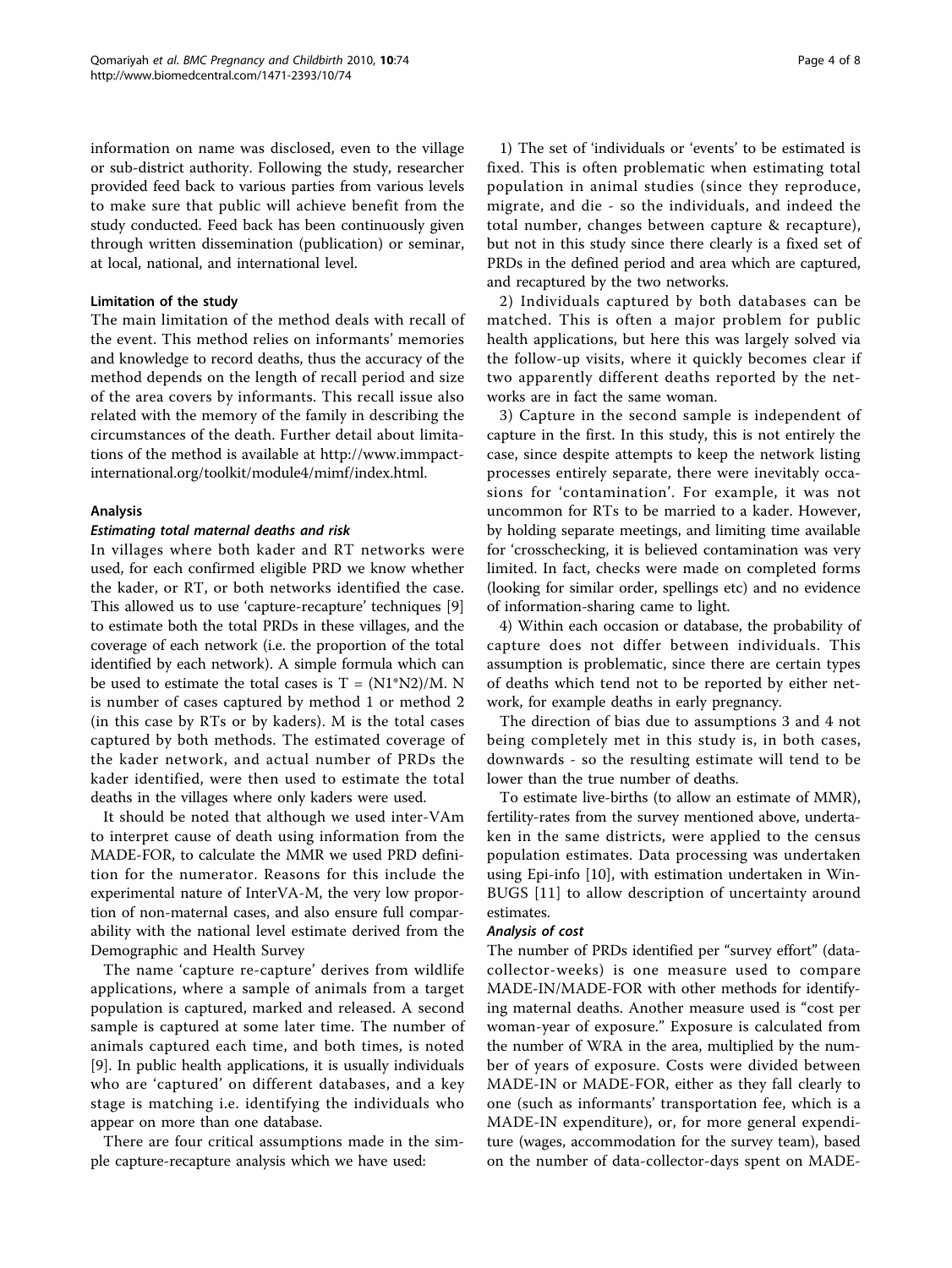information on name was disclosed, even to the village or sub-district authority. Following the study, researcher provided feed back to various parties from various levels to make sure that public will achieve benefit from the study conducted. Feed back has been continuously given through written dissemination (publication) or seminar, at local, national, and international level.

#### Limitation of the study

The main limitation of the method deals with recall of the event. This method relies on informants' memories and knowledge to record deaths, thus the accuracy of the method depends on the length of recall period and size of the area covers by informants. This recall issue also related with the memory of the family in describing the circumstances of the death. Further detail about limitations of the method is available at [http://www.immpact](http://www.immpact-international.org/toolkit/module4/mimf/index.html)[international.org/toolkit/module4/mimf/index.html.](http://www.immpact-international.org/toolkit/module4/mimf/index.html)

#### Analysis

#### Estimating total maternal deaths and risk

In villages where both kader and RT networks were used, for each confirmed eligible PRD we know whether the kader, or RT, or both networks identified the case. This allowed us to use 'capture-recapture' techniques [[9](#page-7-0)] to estimate both the total PRDs in these villages, and the coverage of each network (i.e. the proportion of the total identified by each network). A simple formula which can be used to estimate the total cases is  $T = (N1*N2)/M$ . N is number of cases captured by method 1 or method 2 (in this case by RTs or by kaders). M is the total cases captured by both methods. The estimated coverage of the kader network, and actual number of PRDs the kader identified, were then used to estimate the total deaths in the villages where only kaders were used.

It should be noted that although we used inter-VAm to interpret cause of death using information from the MADE-FOR, to calculate the MMR we used PRD definition for the numerator. Reasons for this include the experimental nature of InterVA-M, the very low proportion of non-maternal cases, and also ensure full comparability with the national level estimate derived from the Demographic and Health Survey

The name 'capture re-capture' derives from wildlife applications, where a sample of animals from a target population is captured, marked and released. A second sample is captured at some later time. The number of animals captured each time, and both times, is noted [[9\]](#page-7-0). In public health applications, it is usually individuals who are 'captured' on different databases, and a key stage is matching i.e. identifying the individuals who appear on more than one database.

There are four critical assumptions made in the simple capture-recapture analysis which we have used:

1) The set of 'individuals or 'events' to be estimated is fixed. This is often problematic when estimating total population in animal studies (since they reproduce, migrate, and die - so the individuals, and indeed the total number, changes between capture & recapture), but not in this study since there clearly is a fixed set of PRDs in the defined period and area which are captured, and recaptured by the two networks.

2) Individuals captured by both databases can be matched. This is often a major problem for public health applications, but here this was largely solved via the follow-up visits, where it quickly becomes clear if two apparently different deaths reported by the networks are in fact the same woman.

3) Capture in the second sample is independent of capture in the first. In this study, this is not entirely the case, since despite attempts to keep the network listing processes entirely separate, there were inevitably occasions for 'contamination'. For example, it was not uncommon for RTs to be married to a kader. However, by holding separate meetings, and limiting time available for 'crosschecking, it is believed contamination was very limited. In fact, checks were made on completed forms (looking for similar order, spellings etc) and no evidence of information-sharing came to light.

4) Within each occasion or database, the probability of capture does not differ between individuals. This assumption is problematic, since there are certain types of deaths which tend not to be reported by either network, for example deaths in early pregnancy.

The direction of bias due to assumptions 3 and 4 not being completely met in this study is, in both cases, downwards - so the resulting estimate will tend to be lower than the true number of deaths.

To estimate live-births (to allow an estimate of MMR), fertility-rates from the survey mentioned above, undertaken in the same districts, were applied to the census population estimates. Data processing was undertaken using Epi-info [[10](#page-7-0)], with estimation undertaken in Win-BUGS [[11\]](#page-7-0) to allow description of uncertainty around estimates.

#### Analysis of cost

The number of PRDs identified per "survey effort" (datacollector-weeks) is one measure used to compare MADE-IN/MADE-FOR with other methods for identifying maternal deaths. Another measure used is "cost per woman-year of exposure." Exposure is calculated from the number of WRA in the area, multiplied by the number of years of exposure. Costs were divided between MADE-IN or MADE-FOR, either as they fall clearly to one (such as informants' transportation fee, which is a MADE-IN expenditure), or, for more general expenditure (wages, accommodation for the survey team), based on the number of data-collector-days spent on MADE-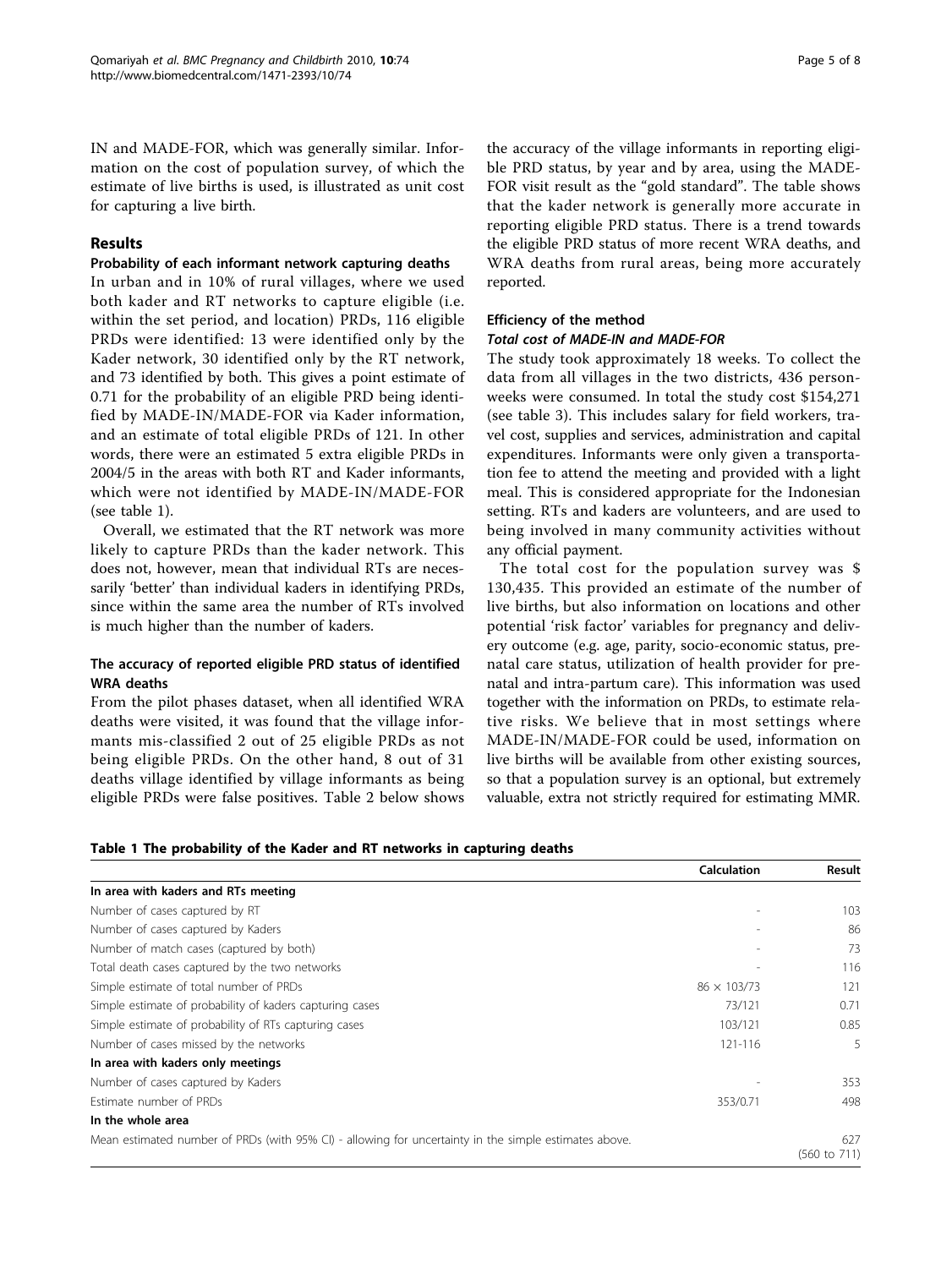IN and MADE-FOR, which was generally similar. Information on the cost of population survey, of which the estimate of live births is used, is illustrated as unit cost for capturing a live birth.

## Results

#### Probability of each informant network capturing deaths

In urban and in 10% of rural villages, where we used both kader and RT networks to capture eligible (i.e. within the set period, and location) PRDs, 116 eligible PRDs were identified: 13 were identified only by the Kader network, 30 identified only by the RT network, and 73 identified by both. This gives a point estimate of 0.71 for the probability of an eligible PRD being identified by MADE-IN/MADE-FOR via Kader information, and an estimate of total eligible PRDs of 121. In other words, there were an estimated 5 extra eligible PRDs in 2004/5 in the areas with both RT and Kader informants, which were not identified by MADE-IN/MADE-FOR (see table 1).

Overall, we estimated that the RT network was more likely to capture PRDs than the kader network. This does not, however, mean that individual RTs are necessarily 'better' than individual kaders in identifying PRDs, since within the same area the number of RTs involved is much higher than the number of kaders.

## The accuracy of reported eligible PRD status of identified WRA deaths

From the pilot phases dataset, when all identified WRA deaths were visited, it was found that the village informants mis-classified 2 out of 25 eligible PRDs as not being eligible PRDs. On the other hand, 8 out of 31 deaths village identified by village informants as being eligible PRDs were false positives. Table [2](#page-5-0) below shows

the accuracy of the village informants in reporting eligible PRD status, by year and by area, using the MADE-FOR visit result as the "gold standard". The table shows that the kader network is generally more accurate in reporting eligible PRD status. There is a trend towards the eligible PRD status of more recent WRA deaths, and WRA deaths from rural areas, being more accurately reported.

## Efficiency of the method Total cost of MADE-IN and MADE-FOR

The study took approximately 18 weeks. To collect the data from all villages in the two districts, 436 personweeks were consumed. In total the study cost \$154,271 (see table [3\)](#page-5-0). This includes salary for field workers, travel cost, supplies and services, administration and capital expenditures. Informants were only given a transportation fee to attend the meeting and provided with a light meal. This is considered appropriate for the Indonesian setting. RTs and kaders are volunteers, and are used to being involved in many community activities without any official payment.

The total cost for the population survey was \$ 130,435. This provided an estimate of the number of live births, but also information on locations and other potential 'risk factor' variables for pregnancy and delivery outcome (e.g. age, parity, socio-economic status, prenatal care status, utilization of health provider for prenatal and intra-partum care). This information was used together with the information on PRDs, to estimate relative risks. We believe that in most settings where MADE-IN/MADE-FOR could be used, information on live births will be available from other existing sources, so that a population survey is an optional, but extremely valuable, extra not strictly required for estimating MMR.

|  |  |  | Table 1 The probability of the Kader and RT networks in capturing deaths |  |  |  |  |  |  |  |  |  |
|--|--|--|--------------------------------------------------------------------------|--|--|--|--|--|--|--|--|--|
|--|--|--|--------------------------------------------------------------------------|--|--|--|--|--|--|--|--|--|

| <b>Calculation</b>                                                                                    | Result                         |
|-------------------------------------------------------------------------------------------------------|--------------------------------|
| In area with kaders and RTs meeting                                                                   |                                |
| Number of cases captured by RT                                                                        | 103                            |
| Number of cases captured by Kaders                                                                    | 86                             |
| Number of match cases (captured by both)                                                              | 73                             |
| Total death cases captured by the two networks                                                        | 116                            |
| Simple estimate of total number of PRDs<br>$86 \times 103/73$                                         | 121                            |
| Simple estimate of probability of kaders capturing cases<br>73/121                                    | 0.71                           |
| Simple estimate of probability of RTs capturing cases<br>103/121                                      | 0.85                           |
| Number of cases missed by the networks<br>121-116                                                     | 5                              |
| In area with kaders only meetings                                                                     |                                |
| Number of cases captured by Kaders                                                                    | 353                            |
| Estimate number of PRDs<br>353/0.71                                                                   | 498                            |
| In the whole area                                                                                     |                                |
| Mean estimated number of PRDs (with 95% CI) - allowing for uncertainty in the simple estimates above. | 627<br>$(560 \text{ to } 711)$ |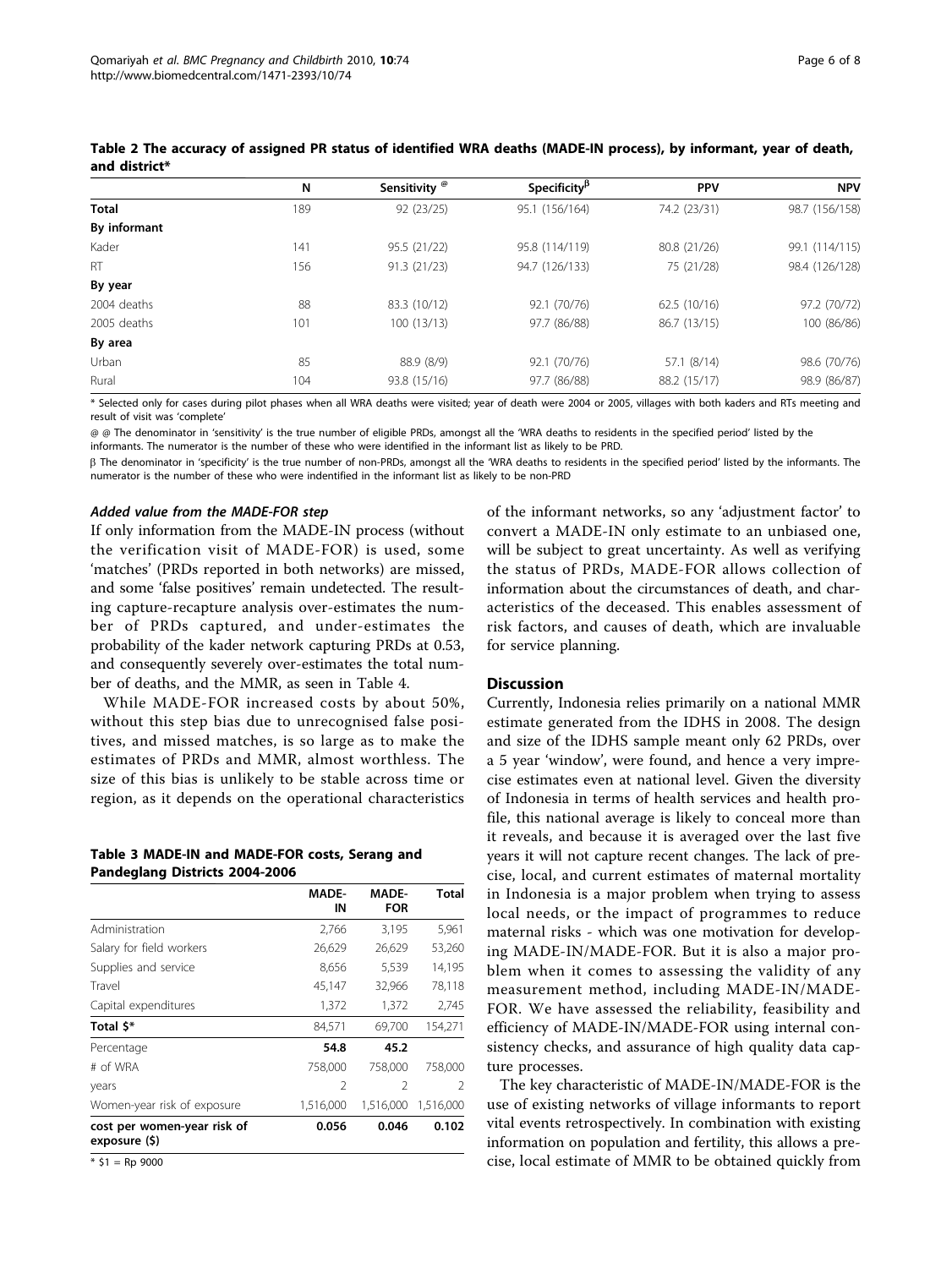|              | N   | Sensitivity <sup>@</sup> | Specificity <sup>p</sup> | <b>PPV</b>   | <b>NPV</b>     |
|--------------|-----|--------------------------|--------------------------|--------------|----------------|
| <b>Total</b> | 189 | 92(23/25)                | 95.1 (156/164)           | 74.2 (23/31) | 98.7 (156/158) |
| By informant |     |                          |                          |              |                |
| Kader        | 141 | 95.5 (21/22)             | 95.8 (114/119)           | 80.8 (21/26) | 99.1 (114/115) |
| <b>RT</b>    | 156 | 91.3(21/23)              | 94.7 (126/133)           | 75 (21/28)   | 98.4 (126/128) |
| By year      |     |                          |                          |              |                |
| 2004 deaths  | 88  | 83.3 (10/12)             | 92.1 (70/76)             | 62.5(10/16)  | 97.2 (70/72)   |
| 2005 deaths  | 101 | 100(13/13)               | 97.7 (86/88)             | 86.7 (13/15) | 100 (86/86)    |
| By area      |     |                          |                          |              |                |
| Urban        | 85  | 88.9 (8/9)               | 92.1 (70/76)             | 57.1 (8/14)  | 98.6 (70/76)   |
| Rural        | 104 | 93.8 (15/16)             | 97.7 (86/88)             | 88.2 (15/17) | 98.9 (86/87)   |

<span id="page-5-0"></span>Table 2 The accuracy of assigned PR status of identified WRA deaths (MADE-IN process), by informant, year of death, and district\*

\* Selected only for cases during pilot phases when all WRA deaths were visited; year of death were 2004 or 2005, villages with both kaders and RTs meeting and result of visit was 'complete'

@ @ The denominator in 'sensitivity' is the true number of eligible PRDs, amongst all the 'WRA deaths to residents in the specified period' listed by the

informants. The numerator is the number of these who were identified in the informant list as likely to be PRD.

b The denominator in 'specificity' is the true number of non-PRDs, amongst all the 'WRA deaths to residents in the specified period' listed by the informants. The numerator is the number of these who were indentified in the informant list as likely to be non-PRD

#### Added value from the MADE-FOR step

If only information from the MADE-IN process (without the verification visit of MADE-FOR) is used, some 'matches' (PRDs reported in both networks) are missed, and some 'false positives' remain undetected. The resulting capture-recapture analysis over-estimates the number of PRDs captured, and under-estimates the probability of the kader network capturing PRDs at 0.53, and consequently severely over-estimates the total number of deaths, and the MMR, as seen in Table [4](#page-6-0).

While MADE-FOR increased costs by about 50%, without this step bias due to unrecognised false positives, and missed matches, is so large as to make the estimates of PRDs and MMR, almost worthless. The size of this bias is unlikely to be stable across time or region, as it depends on the operational characteristics

#### Table 3 MADE-IN and MADE-FOR costs, Serang and Pandeglang Districts 2004-2006

|                                              | <b>MADE-</b><br>IN | <b>MADE-</b><br><b>FOR</b> | <b>Total</b> |
|----------------------------------------------|--------------------|----------------------------|--------------|
| Administration                               | 2,766              | 3,195                      | 5,961        |
| Salary for field workers                     | 26,629             | 26,629                     | 53,260       |
| Supplies and service                         | 8,656              | 5,539                      | 14,195       |
| Travel                                       | 45,147             | 32,966                     | 78,118       |
| Capital expenditures                         | 1,372              | 1,372                      | 2,745        |
| Total \$*                                    | 84,571             | 69,700                     | 154,271      |
| Percentage                                   | 54.8               | 45.2                       |              |
| # of WRA                                     | 758,000            | 758,000                    | 758,000      |
| years                                        | $\mathcal{P}$      | 2                          | 2            |
| Women-year risk of exposure                  | 1,516,000          | 1,516,000                  | 1,516,000    |
| cost per women-year risk of<br>exposure (\$) | 0.056              | 0.046                      | 0.102        |

 $*$  \$1 = Rp 9000

of the informant networks, so any 'adjustment factor' to convert a MADE-IN only estimate to an unbiased one, will be subject to great uncertainty. As well as verifying the status of PRDs, MADE-FOR allows collection of information about the circumstances of death, and characteristics of the deceased. This enables assessment of risk factors, and causes of death, which are invaluable for service planning.

## **Discussion**

Currently, Indonesia relies primarily on a national MMR estimate generated from the IDHS in 2008. The design and size of the IDHS sample meant only 62 PRDs, over a 5 year 'window', were found, and hence a very imprecise estimates even at national level. Given the diversity of Indonesia in terms of health services and health profile, this national average is likely to conceal more than it reveals, and because it is averaged over the last five years it will not capture recent changes. The lack of precise, local, and current estimates of maternal mortality in Indonesia is a major problem when trying to assess local needs, or the impact of programmes to reduce maternal risks - which was one motivation for developing MADE-IN/MADE-FOR. But it is also a major problem when it comes to assessing the validity of any measurement method, including MADE-IN/MADE-FOR. We have assessed the reliability, feasibility and efficiency of MADE-IN/MADE-FOR using internal consistency checks, and assurance of high quality data capture processes.

The key characteristic of MADE-IN/MADE-FOR is the use of existing networks of village informants to report vital events retrospectively. In combination with existing information on population and fertility, this allows a precise, local estimate of MMR to be obtained quickly from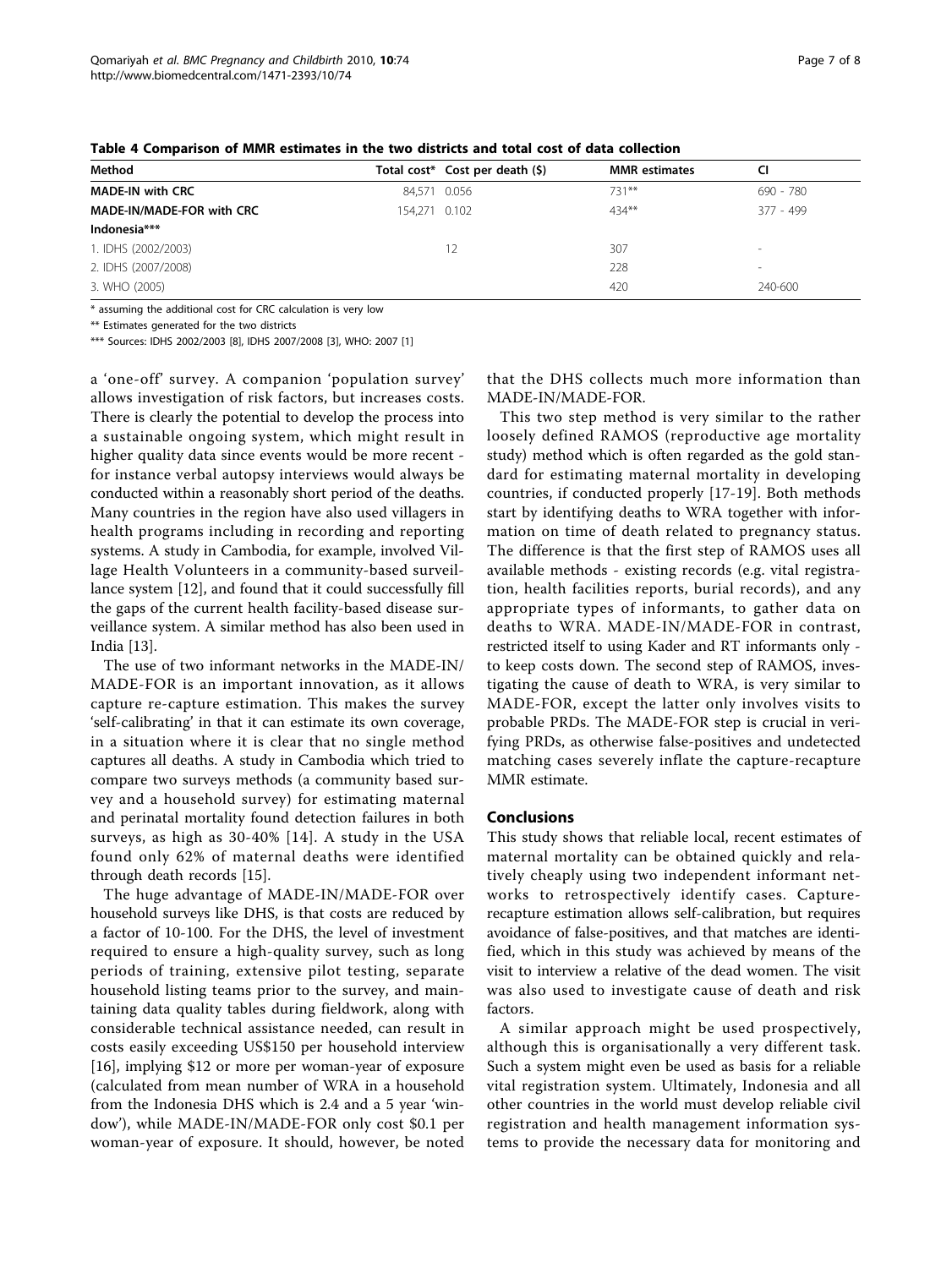| Method                    |               | Total cost* Cost per death (\$) | <b>MMR</b> estimates | CI          |
|---------------------------|---------------|---------------------------------|----------------------|-------------|
|                           |               |                                 |                      |             |
| <b>MADE-IN with CRC</b>   | 84,571 0.056  |                                 | 731**                | 690 - 780   |
| MADE-IN/MADE-FOR with CRC | 154,271 0.102 |                                 | $434**$              | $377 - 499$ |
| Indonesia***              |               |                                 |                      |             |
| 1. IDHS (2002/2003)       |               | 12                              | 307                  |             |
| 2. IDHS (2007/2008)       |               |                                 | 228                  |             |
| 3. WHO (2005)             |               |                                 | 420                  | 240-600     |

<span id="page-6-0"></span>Table 4 Comparison of MMR estimates in the two districts and total cost of data collection

\* assuming the additional cost for CRC calculation is very low

\*\* Estimates generated for the two districts

\*\*\* Sources: IDHS 2002/2003 [[8](#page-7-0)], IDHS 2007/2008 [[3](#page-7-0)], WHO: 2007 [\[1\]](#page-7-0)

a 'one-off' survey. A companion 'population survey' allows investigation of risk factors, but increases costs. There is clearly the potential to develop the process into a sustainable ongoing system, which might result in higher quality data since events would be more recent for instance verbal autopsy interviews would always be conducted within a reasonably short period of the deaths. Many countries in the region have also used villagers in health programs including in recording and reporting systems. A study in Cambodia, for example, involved Village Health Volunteers in a community-based surveillance system [\[12](#page-7-0)], and found that it could successfully fill the gaps of the current health facility-based disease surveillance system. A similar method has also been used in India [\[13](#page-7-0)].

The use of two informant networks in the MADE-IN/ MADE-FOR is an important innovation, as it allows capture re-capture estimation. This makes the survey 'self-calibrating' in that it can estimate its own coverage, in a situation where it is clear that no single method captures all deaths. A study in Cambodia which tried to compare two surveys methods (a community based survey and a household survey) for estimating maternal and perinatal mortality found detection failures in both surveys, as high as 30-40% [\[14](#page-7-0)]. A study in the USA found only 62% of maternal deaths were identified through death records [\[15](#page-7-0)].

The huge advantage of MADE-IN/MADE-FOR over household surveys like DHS, is that costs are reduced by a factor of 10-100. For the DHS, the level of investment required to ensure a high-quality survey, such as long periods of training, extensive pilot testing, separate household listing teams prior to the survey, and maintaining data quality tables during fieldwork, along with considerable technical assistance needed, can result in costs easily exceeding US\$150 per household interview [[16\]](#page-7-0), implying \$12 or more per woman-year of exposure (calculated from mean number of WRA in a household from the Indonesia DHS which is 2.4 and a 5 year 'window'), while MADE-IN/MADE-FOR only cost \$0.1 per woman-year of exposure. It should, however, be noted

that the DHS collects much more information than MADE-IN/MADE-FOR.

This two step method is very similar to the rather loosely defined RAMOS (reproductive age mortality study) method which is often regarded as the gold standard for estimating maternal mortality in developing countries, if conducted properly [[17](#page-7-0)-[19\]](#page-7-0). Both methods start by identifying deaths to WRA together with information on time of death related to pregnancy status. The difference is that the first step of RAMOS uses all available methods - existing records (e.g. vital registration, health facilities reports, burial records), and any appropriate types of informants, to gather data on deaths to WRA. MADE-IN/MADE-FOR in contrast, restricted itself to using Kader and RT informants only to keep costs down. The second step of RAMOS, investigating the cause of death to WRA, is very similar to MADE-FOR, except the latter only involves visits to probable PRDs. The MADE-FOR step is crucial in verifying PRDs, as otherwise false-positives and undetected matching cases severely inflate the capture-recapture MMR estimate.

#### Conclusions

This study shows that reliable local, recent estimates of maternal mortality can be obtained quickly and relatively cheaply using two independent informant networks to retrospectively identify cases. Capturerecapture estimation allows self-calibration, but requires avoidance of false-positives, and that matches are identified, which in this study was achieved by means of the visit to interview a relative of the dead women. The visit was also used to investigate cause of death and risk factors.

A similar approach might be used prospectively, although this is organisationally a very different task. Such a system might even be used as basis for a reliable vital registration system. Ultimately, Indonesia and all other countries in the world must develop reliable civil registration and health management information systems to provide the necessary data for monitoring and